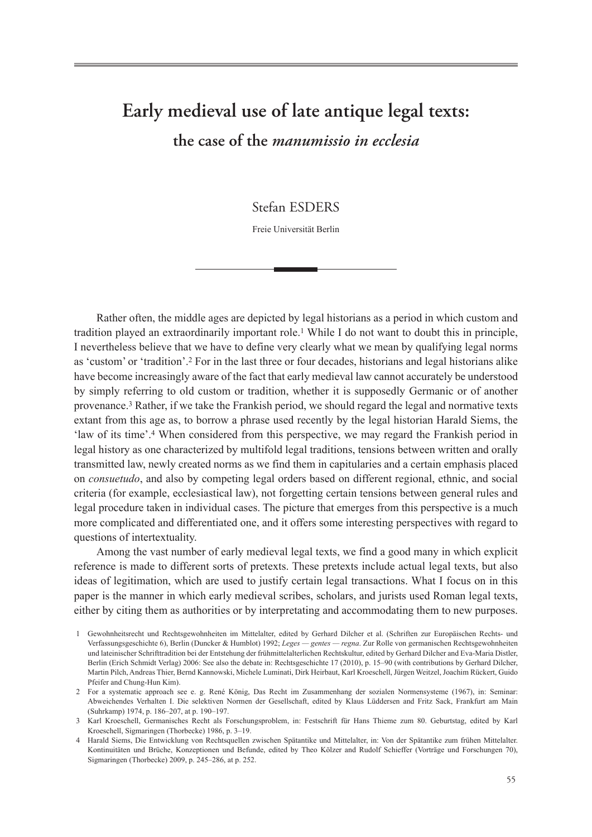# **Early medieval use of late antique legal texts: the case of the** *manumissio in ecclesia*

Stefan ESDERS

Freie Universität Berlin

Rather often, the middle ages are depicted by legal historians as a period in which custom and tradition played an extraordinarily important role.1 While I do not want to doubt this in principle, I nevertheless believe that we have to define very clearly what we mean by qualifying legal norms as 'custom' or 'tradition'.2 For in the last three or four decades, historians and legal historians alike have become increasingly aware of the fact that early medieval law cannot accurately be understood by simply referring to old custom or tradition, whether it is supposedly Germanic or of another provenance.3 Rather, if we take the Frankish period, we should regard the legal and normative texts extant from this age as, to borrow a phrase used recently by the legal historian Harald Siems, the 'law of its time'.4 When considered from this perspective, we may regard the Frankish period in legal history as one characterized by multifold legal traditions, tensions between written and orally transmitted law, newly created norms as we find them in capitularies and a certain emphasis placed on *consuetudo*, and also by competing legal orders based on different regional, ethnic, and social criteria (for example, ecclesiastical law), not forgetting certain tensions between general rules and legal procedure taken in individual cases. The picture that emerges from this perspective is a much more complicated and differentiated one, and it offers some interesting perspectives with regard to questions of intertextuality.

Among the vast number of early medieval legal texts, we find a good many in which explicit reference is made to different sorts of pretexts. These pretexts include actual legal texts, but also ideas of legitimation, which are used to justify certain legal transactions. What I focus on in this paper is the manner in which early medieval scribes, scholars, and jurists used Roman legal texts, either by citing them as authorities or by interpretating and accommodating them to new purposes.

<sup>1</sup> Gewohnheitsrecht und Rechtsgewohnheiten im Mittelalter, edited by Gerhard Dilcher et al. (Schriften zur Europäischen Rechts- und Verfassungsgeschichte 6), Berlin (Duncker & Humblot) 1992; *Leges — gentes — regna*. Zur Rolle von germanischen Rechtsgewohnheiten und lateinischer Schrifttradition bei der Entstehung der frühmittelalterlichen Rechtskultur, edited by Gerhard Dilcher and Eva-Maria Distler, Berlin (Erich Schmidt Verlag) 2006: See also the debate in: Rechtsgeschichte 17 (2010), p. 15–90 (with contributions by Gerhard Dilcher, Martin Pilch, Andreas Thier, Bernd Kannowski, Michele Luminati, Dirk Heirbaut, Karl Kroeschell, Jürgen Weitzel, Joachim Rückert, Guido Pfeifer and Chung-Hun Kim).

<sup>2</sup> For a systematic approach see e. g. René König, Das Recht im Zusammenhang der sozialen Normensysteme (1967), in: Seminar: Abweichendes Verhalten I. Die selektiven Normen der Gesellschaft, edited by Klaus Lüddersen and Fritz Sack, Frankfurt am Main (Suhrkamp) 1974, p. 186–207, at p. 190–197.

<sup>3</sup> Karl Kroeschell, Germanisches Recht als Forschungsproblem, in: Festschrift für Hans Thieme zum 80. Geburtstag, edited by Karl Kroeschell, Sigmaringen (Thorbecke) 1986, p. 3–19.

<sup>4</sup> Harald Siems, Die Entwicklung von Rechtsquellen zwischen Spätantike und Mittelalter, in: Von der Spätantike zum frühen Mittelalter. Kontinuitäten und Brüche, Konzeptionen und Befunde, edited by Theo Kölzer and Rudolf Schieffer (Vorträge und Forschungen 70), Sigmaringen (Thorbecke) 2009, p. 245–286, at p. 252.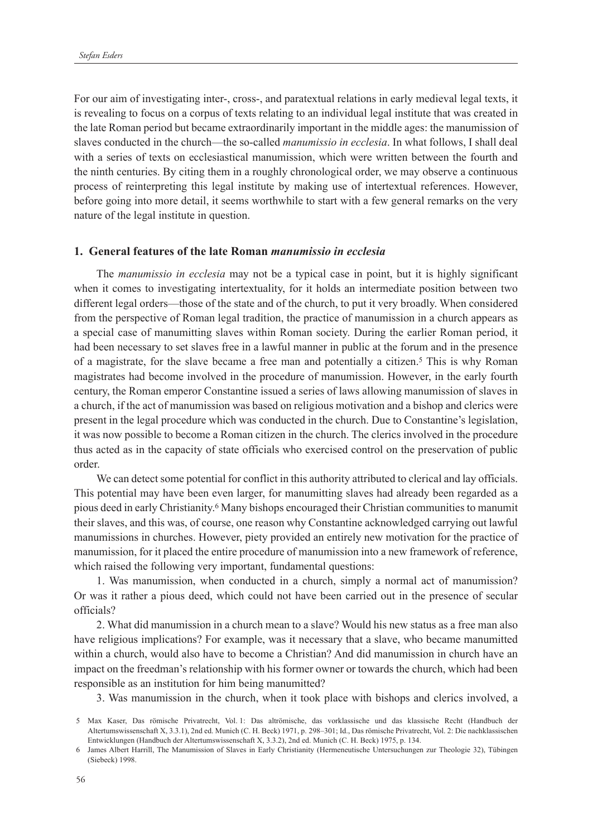For our aim of investigating inter-, cross-, and paratextual relations in early medieval legal texts, it is revealing to focus on a corpus of texts relating to an individual legal institute that was created in the late Roman period but became extraordinarily important in the middle ages: the manumission of slaves conducted in the church—the so-called *manumissio in ecclesia*. In what follows, I shall deal with a series of texts on ecclesiastical manumission, which were written between the fourth and the ninth centuries. By citing them in a roughly chronological order, we may observe a continuous process of reinterpreting this legal institute by making use of intertextual references. However, before going into more detail, it seems worthwhile to start with a few general remarks on the very nature of the legal institute in question.

## **1. General features of the late Roman** *manumissio in ecclesia*

The *manumissio in ecclesia* may not be a typical case in point, but it is highly significant when it comes to investigating intertextuality, for it holds an intermediate position between two different legal orders—those of the state and of the church, to put it very broadly. When considered from the perspective of Roman legal tradition, the practice of manumission in a church appears as a special case of manumitting slaves within Roman society. During the earlier Roman period, it had been necessary to set slaves free in a lawful manner in public at the forum and in the presence of a magistrate, for the slave became a free man and potentially a citizen.5 This is why Roman magistrates had become involved in the procedure of manumission. However, in the early fourth century, the Roman emperor Constantine issued a series of laws allowing manumission of slaves in a church, if the act of manumission was based on religious motivation and a bishop and clerics were present in the legal procedure which was conducted in the church. Due to Constantine's legislation, it was now possible to become a Roman citizen in the church. The clerics involved in the procedure thus acted as in the capacity of state officials who exercised control on the preservation of public order.

We can detect some potential for conflict in this authority attributed to clerical and lay officials. This potential may have been even larger, for manumitting slaves had already been regarded as a pious deed in early Christianity.6 Many bishops encouraged their Christian communities to manumit their slaves, and this was, of course, one reason why Constantine acknowledged carrying out lawful manumissions in churches. However, piety provided an entirely new motivation for the practice of manumission, for it placed the entire procedure of manumission into a new framework of reference, which raised the following very important, fundamental questions:

1. Was manumission, when conducted in a church, simply a normal act of manumission? Or was it rather a pious deed, which could not have been carried out in the presence of secular officials?

2. What did manumission in a church mean to a slave? Would his new status as a free man also have religious implications? For example, was it necessary that a slave, who became manumitted within a church, would also have to become a Christian? And did manumission in church have an impact on the freedman's relationship with his former owner or towards the church, which had been responsible as an institution for him being manumitted?

3. Was manumission in the church, when it took place with bishops and clerics involved, a

<sup>5</sup> Max Kaser, Das römische Privatrecht, Vol. 1: Das altrömische, das vorklassische und das klassische Recht (Handbuch der Altertumswissenschaft X, 3.3.1), 2nd ed. Munich (C. H. Beck) 1971, p. 298–301; Id., Das römische Privatrecht, Vol. 2: Die nachklassischen Entwicklungen (Handbuch der Altertumswissenschaft X, 3.3.2), 2nd ed. Munich (C. H. Beck) 1975, p. 134.

<sup>6</sup> James Albert Harrill, The Manumission of Slaves in Early Christianity (Hermeneutische Untersuchungen zur Theologie 32), Tübingen (Siebeck) 1998.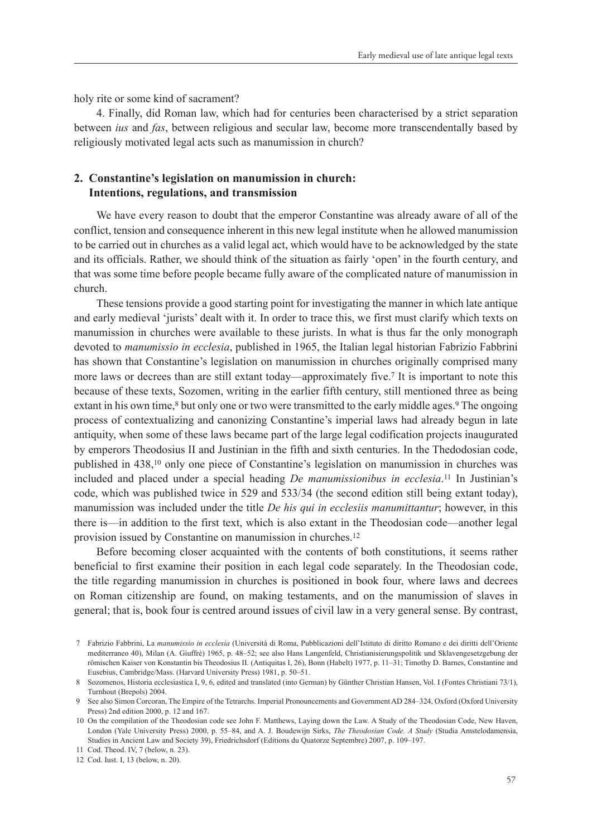holy rite or some kind of sacrament?

4. Finally, did Roman law, which had for centuries been characterised by a strict separation between *ius* and *fas*, between religious and secular law, become more transcendentally based by religiously motivated legal acts such as manumission in church?

# **2. Constantine's legislation on manumission in church: Intentions, regulations, and transmission**

We have every reason to doubt that the emperor Constantine was already aware of all of the conflict, tension and consequence inherent in this new legal institute when he allowed manumission to be carried out in churches as a valid legal act, which would have to be acknowledged by the state and its officials. Rather, we should think of the situation as fairly 'open' in the fourth century, and that was some time before people became fully aware of the complicated nature of manumission in church.

These tensions provide a good starting point for investigating the manner in which late antique and early medieval 'jurists' dealt with it. In order to trace this, we first must clarify which texts on manumission in churches were available to these jurists. In what is thus far the only monograph devoted to *manumissio in ecclesia*, published in 1965, the Italian legal historian Fabrizio Fabbrini has shown that Constantine's legislation on manumission in churches originally comprised many more laws or decrees than are still extant today—approximately five.7 It is important to note this because of these texts, Sozomen, writing in the earlier fifth century, still mentioned three as being extant in his own time,<sup>8</sup> but only one or two were transmitted to the early middle ages.<sup>9</sup> The ongoing process of contextualizing and canonizing Constantine's imperial laws had already begun in late antiquity, when some of these laws became part of the large legal codification projects inaugurated by emperors Theodosius II and Justinian in the fifth and sixth centuries. In the Thedodosian code, published in 438,10 only one piece of Constantine's legislation on manumission in churches was included and placed under a special heading *De manumissionibus in ecclesia*.11 In Justinian's code, which was published twice in 529 and 533/34 (the second edition still being extant today), manumission was included under the title *De his qui in ecclesiis manumittantur*; however, in this there is—in addition to the first text, which is also extant in the Theodosian code—another legal provision issued by Constantine on manumission in churches.12

Before becoming closer acquainted with the contents of both constitutions, it seems rather beneficial to first examine their position in each legal code separately. In the Theodosian code, the title regarding manumission in churches is positioned in book four, where laws and decrees on Roman citizenship are found, on making testaments, and on the manumission of slaves in general; that is, book four is centred around issues of civil law in a very general sense. By contrast,

<sup>7</sup> Fabrizio Fabbrini, La *manumissio in ecclesia* (Università di Roma, Pubblicazioni dell'Istituto di diritto Romano e dei diritti dell'Oriente mediterraneo 40), Milan (A. Giuffrè) 1965, p. 48–52; see also Hans Langenfeld, Christianisierungspolitik und Sklavengesetzgebung der römischen Kaiser von Konstantin bis Theodosius II. (Antiquitas I, 26), Bonn (Habelt) 1977, p. 11–31; Timothy D. Barnes, Constantine and Eusebius, Cambridge/Mass. (Harvard University Press) 1981, p. 50–51.

<sup>8</sup> Sozomenos, Historia ecclesiastica I, 9, 6, edited and translated (into German) by Günther Christian Hansen, Vol. I (Fontes Christiani 73/1), Turnhout (Brepols) 2004.

<sup>9</sup> See also Simon Corcoran, The Empire of the Tetrarchs. Imperial Pronouncements and Government AD 284–324, Oxford (Oxford University Press) 2nd edition 2000, p. 12 and 167.

<sup>10</sup> On the compilation of the Theodosian code see John F. Matthews, Laying down the Law. A Study of the Theodosian Code, New Haven, London (Yale University Press) 2000, p. 55–84, and A. J. Boudewijn Sirks, *The Theodosian Code. A Study* (Studia Amstelodamensia, Studies in Ancient Law and Society 39), Friedrichsdorf (Editions du Quatorze Septembre) 2007, p. 109–197.

<sup>11</sup> Cod. Theod. IV, 7 (below, n. 23).

<sup>12</sup> Cod. Iust. I, 13 (below, n. 20).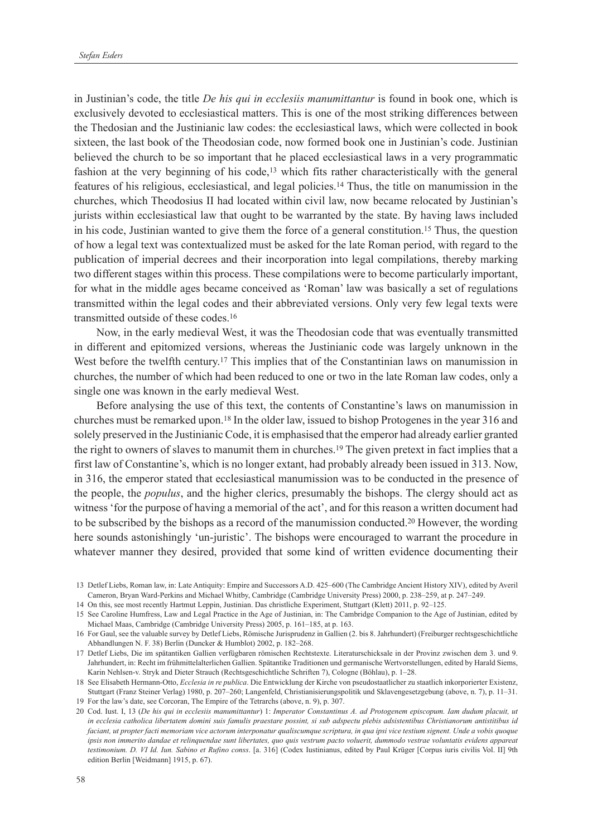in Justinian's code, the title *De his qui in ecclesiis manumittantur* is found in book one, which is exclusively devoted to ecclesiastical matters. This is one of the most striking differences between the Thedosian and the Justinianic law codes: the ecclesiastical laws, which were collected in book sixteen, the last book of the Theodosian code, now formed book one in Justinian's code. Justinian believed the church to be so important that he placed ecclesiastical laws in a very programmatic fashion at the very beginning of his code,<sup>13</sup> which fits rather characteristically with the general features of his religious, ecclesiastical, and legal policies.14 Thus, the title on manumission in the churches, which Theodosius II had located within civil law, now became relocated by Justinian's jurists within ecclesiastical law that ought to be warranted by the state. By having laws included in his code, Justinian wanted to give them the force of a general constitution.15 Thus, the question of how a legal text was contextualized must be asked for the late Roman period, with regard to the publication of imperial decrees and their incorporation into legal compilations, thereby marking two different stages within this process. These compilations were to become particularly important, for what in the middle ages became conceived as 'Roman' law was basically a set of regulations transmitted within the legal codes and their abbreviated versions. Only very few legal texts were transmitted outside of these codes.16

Now, in the early medieval West, it was the Theodosian code that was eventually transmitted in different and epitomized versions, whereas the Justinianic code was largely unknown in the West before the twelfth century.<sup>17</sup> This implies that of the Constantinian laws on manumission in churches, the number of which had been reduced to one or two in the late Roman law codes, only a single one was known in the early medieval West.

Before analysing the use of this text, the contents of Constantine's laws on manumission in churches must be remarked upon.18 In the older law, issued to bishop Protogenes in the year 316 and solely preserved in the Justinianic Code, it is emphasised that the emperor had already earlier granted the right to owners of slaves to manumit them in churches.19 The given pretext in fact implies that a first law of Constantine's, which is no longer extant, had probably already been issued in 313. Now, in 316, the emperor stated that ecclesiastical manumission was to be conducted in the presence of the people, the *populus*, and the higher clerics, presumably the bishops. The clergy should act as witness 'for the purpose of having a memorial of the act', and for this reason a written document had to be subscribed by the bishops as a record of the manumission conducted.20 However, the wording here sounds astonishingly 'un-juristic'. The bishops were encouraged to warrant the procedure in whatever manner they desired, provided that some kind of written evidence documenting their

14 On this, see most recently Hartmut Leppin, Justinian. Das christliche Experiment, Stuttgart (Klett) 2011, p. 92–125.

<sup>13</sup> Detlef Liebs, Roman law, in: Late Antiquity: Empire and Successors A.D. 425–600 (The Cambridge Ancient History XIV), edited by Averil Cameron, Bryan Ward-Perkins and Michael Whitby, Cambridge (Cambridge University Press) 2000, p. 238–259, at p. 247–249.

<sup>15</sup> See Caroline Humfress, Law and Legal Practice in the Age of Justinian, in: The Cambridge Companion to the Age of Justinian, edited by Michael Maas, Cambridge (Cambridge University Press) 2005, p. 161–185, at p. 163.

<sup>16</sup> For Gaul, see the valuable survey by Detlef Liebs, Römische Jurisprudenz in Gallien (2. bis 8. Jahrhundert) (Freiburger rechtsgeschichtliche Abhandlungen N. F. 38) Berlin (Duncker & Humblot) 2002, p. 182–268.

<sup>17</sup> Detlef Liebs, Die im spätantiken Gallien verfügbaren römischen Rechtstexte. Literaturschicksale in der Provinz zwischen dem 3. und 9. Jahrhundert, in: Recht im frühmittelalterlichen Gallien. Spätantike Traditionen und germanische Wertvorstellungen, edited by Harald Siems, Karin Nehlsen-v. Stryk and Dieter Strauch (Rechtsgeschichtliche Schriften 7), Cologne (Böhlau), p. 1–28.

<sup>18</sup> See Elisabeth Hermann-Otto, *Ecclesia in re publica*. Die Entwicklung der Kirche von pseudostaatlicher zu staatlich inkorporierter Existenz, Stuttgart (Franz Steiner Verlag) 1980, p. 207–260; Langenfeld, Christianisierungspolitik und Sklavengesetzgebung (above, n. 7), p. 11–31. 19 For the law's date, see Corcoran, The Empire of the Tetrarchs (above, n. 9), p. 307.

<sup>20</sup> Cod. Iust. I, 13 (*De his qui in ecclesiis manumittantur*) 1: *Imperator Constantinus A. ad Protogenem episcopum. Iam dudum placuit, ut in ecclesia catholica libertatem domini suis famulis praestare possint, si sub adspectu plebis adsistentibus Christianorum antistitibus id faciant, ut propter facti memoriam vice actorum interponatur qualiscumque scriptura, in qua ipsi vice testium signent. Unde a vobis quoque ipsis non immerito dandae et relinquendae sunt libertates, quo quis vestrum pacto voluerit, dummodo vestrae voluntatis evidens appareat testimonium. D. VI Id. Iun. Sabino et Rufino conss*. [a. 316] (Codex Iustinianus, edited by Paul Krüger [Corpus iuris civilis Vol. II] 9th edition Berlin [Weidmann] 1915, p. 67).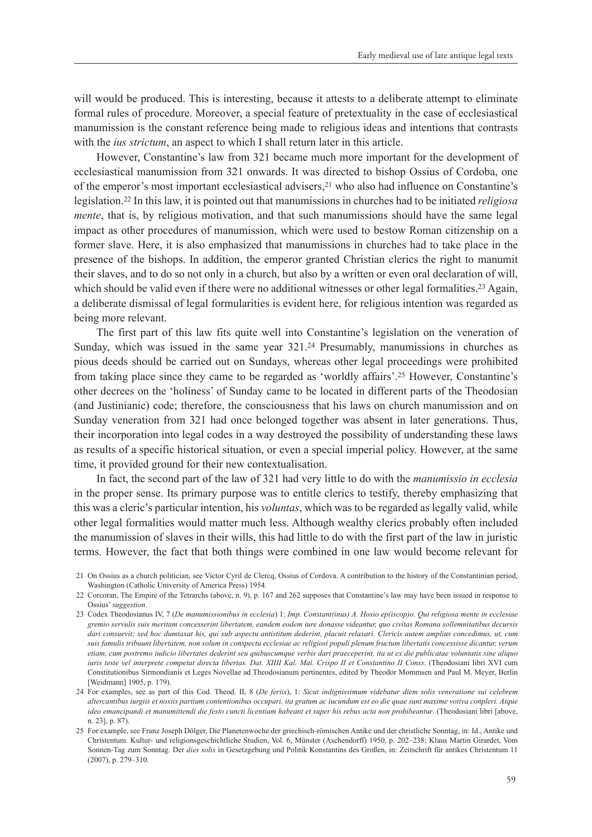will would be produced. This is interesting, because it attests to a deliberate attempt to eliminate formal rules of procedure. Moreover, a special feature of pretextuality in the case of ecclesiastical manumission is the constant reference being made to religious ideas and intentions that contrasts with the *ius strictum*, an aspect to which I shall return later in this article.

However, Constantine's law from 321 became much more important for the development of ecclesiastical manumission from 321 onwards. It was directed to bishop Ossius of Cordoba, one of the emperor's most important ecclesiastical advisers,21 who also had influence on Constantine's legislation.22 In this law, it is pointed out that manumissions in churches had to be initiated *religiosa mente*, that is, by religious motivation, and that such manumissions should have the same legal impact as other procedures of manumission, which were used to bestow Roman citizenship on a former slave. Here, it is also emphasized that manumissions in churches had to take place in the presence of the bishops. In addition, the emperor granted Christian clerics the right to manumit their slaves, and to do so not only in a church, but also by a written or even oral declaration of will, which should be valid even if there were no additional witnesses or other legal formalities.<sup>23</sup> Again, a deliberate dismissal of legal formularities is evident here, for religious intention was regarded as being more relevant.

The first part of this law fits quite well into Constantine's legislation on the veneration of Sunday, which was issued in the same year 321.24 Presumably, manumissions in churches as pious deeds should be carried out on Sundays, whereas other legal proceedings were prohibited from taking place since they came to be regarded as 'worldly affairs'.25 However, Constantine's other decrees on the 'holiness' of Sunday came to be located in different parts of the Theodosian (and Justinianic) code; therefore, the consciousness that his laws on church manumission and on Sunday veneration from 321 had once belonged together was absent in later generations. Thus, their incorporation into legal codes in a way destroyed the possibility of understanding these laws as results of a specific historical situation, or even a special imperial policy. However, at the same time, it provided ground for their new contextualisation.

In fact, the second part of the law of 321 had very little to do with the *manumissio in ecclesia* in the proper sense. Its primary purpose was to entitle clerics to testify, thereby emphasizing that this was a cleric's particular intention, his *voluntas*, which was to be regarded as legally valid, while other legal formalities would matter much less. Although wealthy clerics probably often included the manumission of slaves in their wills, this had little to do with the first part of the law in juristic terms. However, the fact that both things were combined in one law would become relevant for

<sup>21</sup> On Ossius as a church politician, see Victor Cyril de Clercq, Ossius of Cordova. A contribution to the history of the Constantinian period, Washington (Catholic University of America Press) 1954.

<sup>22</sup> Corcoran, The Empire of the Tetrarchs (above, n. 9), p. 167 and 262 supposes that Constantine's law may have been issued in response to Ossius' *suggestion*.

<sup>23</sup> Codex Theodosianus IV, 7 (*De manumissionibus in ecclesia*) 1: *Imp. Constant(inus) A. Hosio ep(iscop)o. Qui religiosa mente in ecclesiae gremio servulis suis meritam concesserint libertatem, eandem eodem iure donasse videantur, quo civitas Romana sollemnitatibus decursis dari consuevit; sed hoc dumtaxat his, qui sub aspectu antistitum dederint, placuit relaxari. Clericis autem amplius concedimus, ut, cum suis famulis tribuunt libertatem, non solum in conspectu ecclesiae ac religiosi populi plenum fructum libertatis concessisse dicantur, verum etiam, cum postremo iudicio libertates dederint seu quibuscumque verbis dari praeceperint, ita ut ex die publicatae voluntatis sine aliquo iuris teste vel interprete competat directa libertas. Dat. XIIII Kal. Mai. Crispo II et Constantino II Conss*. (Theodosiani libri XVI cum Constitutionibus Sirmondianis et Leges Novellae ad Theodosianum pertinentes, edited by Theodor Mommsen and Paul M. Meyer, Berlin [Weidmann] 1905, p. 179).

<sup>24</sup> For examples, see as part of this Cod. Theod. II, 8 (*De feriis*), 1: *Sicut indignissimum videbatur diem solis veneratione sui celebrem altercantibus iurgiis et noxiis partium contentionibus occupari, ita gratum ac iucundum est eo die quae sunt maxime votiva conpleri. Atque ideo emancipandi et manumittendi die festo cuncti licentiam habeant et super his rebus acta non prohibeantur*. (Theodosiani libri [above, n. 23], p. 87).

<sup>25</sup> For example, see Franz Joseph Dölger, Die Planetenwoche der griechisch-römischen Antike und der christliche Sonntag, in: Id., Antike und Christentum. Kultur- und religionsgeschichtliche Studien, Vol. 6, Münster (Aschendorff) 1950, p. 202–238; Klaus Martin Girardet, Vom Sonnen-Tag zum Sonntag. Der *dies solis* in Gesetzgebung und Politik Konstantins des Großen, in: Zeitschrift für antikes Christentum 11 (2007), p. 279–310.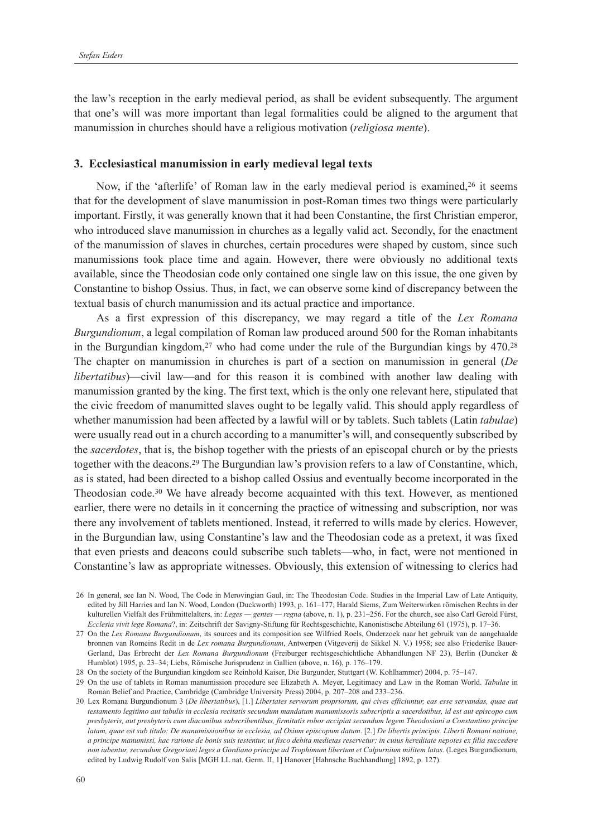the law's reception in the early medieval period, as shall be evident subsequently. The argument that one's will was more important than legal formalities could be aligned to the argument that manumission in churches should have a religious motivation (*religiosa mente*).

#### **3. Ecclesiastical manumission in early medieval legal texts**

Now, if the 'afterlife' of Roman law in the early medieval period is examined,<sup>26</sup> it seems that for the development of slave manumission in post-Roman times two things were particularly important. Firstly, it was generally known that it had been Constantine, the first Christian emperor, who introduced slave manumission in churches as a legally valid act. Secondly, for the enactment of the manumission of slaves in churches, certain procedures were shaped by custom, since such manumissions took place time and again. However, there were obviously no additional texts available, since the Theodosian code only contained one single law on this issue, the one given by Constantine to bishop Ossius. Thus, in fact, we can observe some kind of discrepancy between the textual basis of church manumission and its actual practice and importance.

As a first expression of this discrepancy, we may regard a title of the *Lex Romana Burgundionum*, a legal compilation of Roman law produced around 500 for the Roman inhabitants in the Burgundian kingdom,<sup>27</sup> who had come under the rule of the Burgundian kings by 470.<sup>28</sup> The chapter on manumission in churches is part of a section on manumission in general (*De libertatibus*)—civil law—and for this reason it is combined with another law dealing with manumission granted by the king. The first text, which is the only one relevant here, stipulated that the civic freedom of manumitted slaves ought to be legally valid. This should apply regardless of whether manumission had been affected by a lawful will or by tablets. Such tablets (Latin *tabulae*) were usually read out in a church according to a manumitter's will, and consequently subscribed by the *sacerdotes*, that is, the bishop together with the priests of an episcopal church or by the priests together with the deacons.29 The Burgundian law's provision refers to a law of Constantine, which, as is stated, had been directed to a bishop called Ossius and eventually become incorporated in the Theodosian code.30 We have already become acquainted with this text. However, as mentioned earlier, there were no details in it concerning the practice of witnessing and subscription, nor was there any involvement of tablets mentioned. Instead, it referred to wills made by clerics. However, in the Burgundian law, using Constantine's law and the Theodosian code as a pretext, it was fixed that even priests and deacons could subscribe such tablets—who, in fact, were not mentioned in Constantine's law as appropriate witnesses. Obviously, this extension of witnessing to clerics had

<sup>26</sup> In general, see Ian N. Wood, The Code in Merovingian Gaul, in: The Theodosian Code. Studies in the Imperial Law of Late Antiquity, edited by Jill Harries and Ian N. Wood, London (Duckworth) 1993, p. 161–177; Harald Siems, Zum Weiterwirken römischen Rechts in der kulturellen Vielfalt des Frühmittelalters, in: *Leges — gentes — regna* (above, n. 1), p. 231–256. For the church, see also Carl Gerold Fürst, *Ecclesia vivit lege Romana*?, in: Zeitschrift der Savigny-Stiftung für Rechtsgeschichte, Kanonistische Abteilung 61 (1975), p. 17–36.

<sup>27</sup> On the *Lex Romana Burgundionum*, its sources and its composition see Wilfried Roels, Onderzoek naar het gebruik van de aangehaalde bronnen van Romeins Redit in de *Lex romana Burgundionum*, Antwerpen (Vitgeverij de Sikkel N. V.) 1958; see also Friederike Bauer-Gerland, Das Erbrecht der *Lex Romana Burgundionum* (Freiburger rechtsgeschichtliche Abhandlungen NF 23), Berlin (Duncker & Humblot) 1995, p. 23–34; Liebs, Römische Jurisprudenz in Gallien (above, n. 16), p. 176–179.

<sup>28</sup> On the society of the Burgundian kingdom see Reinhold Kaiser, Die Burgunder, Stuttgart (W. Kohlhammer) 2004, p. 75–147.

<sup>29</sup> On the use of tablets in Roman manumission procedure see Elizabeth A. Meyer, Legitimacy and Law in the Roman World. *Tabulae* in Roman Belief and Practice, Cambridge (Cambridge University Press) 2004, p. 207–208 and 233–236.

<sup>30</sup> Lex Romana Burgundionum 3 (*De libertatibus*), [1.] *Libertates servorum propriorum, qui cives efficiuntur, eas esse servandas, quae aut testamento legitimo aut tabulis in ecclesia recitatis secundum mandatum manumissoris subscriptis a sacerdotibus, id est aut episcopo cum presbyteris, aut presbyteris cum diaconibus subscribentibus, firmitatis robor accipiat secundum legem Theodosiani a Constantino principe latam, quae est sub titulo: De manumissionibus in ecclesia, ad Osium episcopum datum*. [2.] *De libertis principis. Liberti Romani natione, a principe manumissi, hac ratione de bonis suis testentur, ut fisco debita medietas reservetur; in cuius hereditate nepotes ex filia succedere non iubentur, secundum Gregoriani leges a Gordiano principe ad Trophimum libertum et Calpurnium militem latas*. (Leges Burgundionum, edited by Ludwig Rudolf von Salis [MGH LL nat. Germ. II, 1] Hanover [Hahnsche Buchhandlung] 1892, p. 127).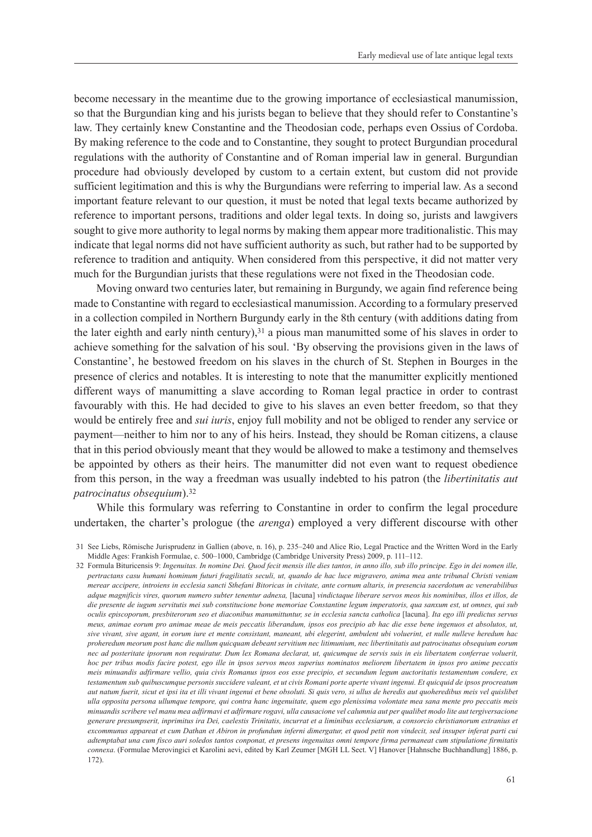become necessary in the meantime due to the growing importance of ecclesiastical manumission, so that the Burgundian king and his jurists began to believe that they should refer to Constantine's law. They certainly knew Constantine and the Theodosian code, perhaps even Ossius of Cordoba. By making reference to the code and to Constantine, they sought to protect Burgundian procedural regulations with the authority of Constantine and of Roman imperial law in general. Burgundian procedure had obviously developed by custom to a certain extent, but custom did not provide sufficient legitimation and this is why the Burgundians were referring to imperial law. As a second important feature relevant to our question, it must be noted that legal texts became authorized by reference to important persons, traditions and older legal texts. In doing so, jurists and lawgivers sought to give more authority to legal norms by making them appear more traditionalistic. This may indicate that legal norms did not have sufficient authority as such, but rather had to be supported by reference to tradition and antiquity. When considered from this perspective, it did not matter very much for the Burgundian jurists that these regulations were not fixed in the Theodosian code.

Moving onward two centuries later, but remaining in Burgundy, we again find reference being made to Constantine with regard to ecclesiastical manumission. According to a formulary preserved in a collection compiled in Northern Burgundy early in the 8th century (with additions dating from the later eighth and early ninth century),  $31$  a pious man manumitted some of his slaves in order to achieve something for the salvation of his soul. 'By observing the provisions given in the laws of Constantine', he bestowed freedom on his slaves in the church of St. Stephen in Bourges in the presence of clerics and notables. It is interesting to note that the manumitter explicitly mentioned different ways of manumitting a slave according to Roman legal practice in order to contrast favourably with this. He had decided to give to his slaves an even better freedom, so that they would be entirely free and *sui iuris*, enjoy full mobility and not be obliged to render any service or payment—neither to him nor to any of his heirs. Instead, they should be Roman citizens, a clause that in this period obviously meant that they would be allowed to make a testimony and themselves be appointed by others as their heirs. The manumitter did not even want to request obedience from this person, in the way a freedman was usually indebted to his patron (the *libertinitatis aut patrocinatus obsequium*).32

While this formulary was referring to Constantine in order to confirm the legal procedure undertaken, the charter's prologue (the *arenga*) employed a very different discourse with other

<sup>31</sup> See Liebs, Römische Jurisprudenz in Gallien (above, n. 16), p. 235–240 and Alice Rio, Legal Practice and the Written Word in the Early Middle Ages: Frankish Formulae, c. 500–1000, Cambridge (Cambridge University Press) 2009, p. 111–112.

<sup>32</sup> Formula Bituricensis 9: *Ingenuitas. In nomine Dei. Quod fecit mensis ille dies tantos, in anno illo, sub illo principe. Ego in dei nomen ille, pertractans casu humani hominum futuri fragilitatis seculi, ut, quando de hac luce migravero, anima mea ante tribunal Christi veniam merear accipere, introiens in ecclesia sancti Sthefani Bitoricas in civitate, ante cornum altaris, in presencia sacerdotum ac venerabilibus adque magnificis vires, quorum numero subter tenentur adnexa,* [lacuna] *vindictaque liberare servos meos his nominibus, illos et illos, de die presente de iugum servitutis mei sub constitucione bone memoriae Constantine legum imperatoris, qua sanxum est, ut omnes, qui sub oculis episcoporum, presbiterorum seo et diaconibus manumittuntur, se in ecclesia sancta catholica* [lacuna]. *Ita ego illi predictus servus meus, animae eorum pro animae meae de meis peccatis liberandum, ipsos eos precipio ab hac die esse bene ingenuos et absolutos, ut, sive vivant, sive agant, in eorum iure et mente consistant, maneant, ubi elegerint, ambulent ubi voluerint, et nulle nulleve heredum hac proheredum meorum post hanc die nullum quicquam debeant servitium nec litimunium, nec libertinitatis aut patrocinatus obsequium eorum nec ad posteritate ipsorum non requiratur. Dum lex Romana declarat, ut, quicumque de servis suis in eis libertatem conferrae voluerit, hoc per tribus modis facire potest, ego ille in ipsos servos meos superius nominatos meliorem libertatem in ipsos pro anime peccatis meis minuandis adfirmare vellio, quia civis Romanus ipsos eos esse precipio, et secundum legum auctoritatis testamentum condere, ex testamentum sub quibuscumque personis succidere valeant, et ut civis Romani porte aperte vivant ingenui. Et quicquid de ipsos procreatum aut natum fuerit, sicut et ipsi ita et illi vivant ingenui et bene obsoluti. Si quis vero, si ullus de heredis aut quoheredibus meis vel quislibet ulla opposita persona ullumque tempore, qui contra hanc ingenuitate, quem ego plenissima volontate mea sana mente pro peccatis meis minuandis scribere vel manu mea adfirmavi et adfirmare rogavi, ulla causacione vel calumnia aut per qualibet modo lite aut tergiversacione generare presumpserit, inprimitus ira Dei, caelestis Trinitatis, incurrat et a liminibus ecclesiarum, a consorcio christianorum extranius et excommunus appareat et cum Dathan et Abiron in profundum inferni dimergatur, et quod petit non vindecit, sed insuper inferat parti cui adtemptabat una cum fisco auri soledos tantos conponat, et presens ingenuitas omni tempore firma permaneat cum stipulatione firmitatis connexa*. (Formulae Merovingici et Karolini aevi, edited by Karl Zeumer [MGH LL Sect. V] Hanover [Hahnsche Buchhandlung] 1886, p. 172).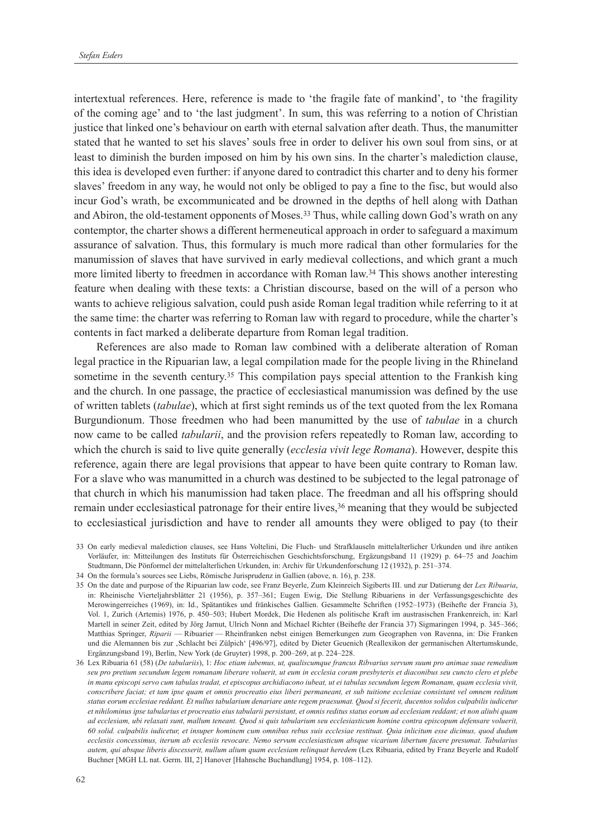intertextual references. Here, reference is made to 'the fragile fate of mankind', to 'the fragility of the coming age' and to 'the last judgment'. In sum, this was referring to a notion of Christian justice that linked one's behaviour on earth with eternal salvation after death. Thus, the manumitter stated that he wanted to set his slaves' souls free in order to deliver his own soul from sins, or at least to diminish the burden imposed on him by his own sins. In the charter's malediction clause, this idea is developed even further: if anyone dared to contradict this charter and to deny his former slaves' freedom in any way, he would not only be obliged to pay a fine to the fisc, but would also incur God's wrath, be excommunicated and be drowned in the depths of hell along with Dathan and Abiron, the old-testament opponents of Moses.<sup>33</sup> Thus, while calling down God's wrath on any contemptor, the charter shows a different hermeneutical approach in order to safeguard a maximum assurance of salvation. Thus, this formulary is much more radical than other formularies for the manumission of slaves that have survived in early medieval collections, and which grant a much more limited liberty to freedmen in accordance with Roman law.34 This shows another interesting feature when dealing with these texts: a Christian discourse, based on the will of a person who wants to achieve religious salvation, could push aside Roman legal tradition while referring to it at the same time: the charter was referring to Roman law with regard to procedure, while the charter's contents in fact marked a deliberate departure from Roman legal tradition.

References are also made to Roman law combined with a deliberate alteration of Roman legal practice in the Ripuarian law, a legal compilation made for the people living in the Rhineland sometime in the seventh century.<sup>35</sup> This compilation pays special attention to the Frankish king and the church. In one passage, the practice of ecclesiastical manumission was defined by the use of written tablets (*tabulae*), which at first sight reminds us of the text quoted from the lex Romana Burgundionum. Those freedmen who had been manumitted by the use of *tabulae* in a church now came to be called *tabularii*, and the provision refers repeatedly to Roman law, according to which the church is said to live quite generally (*ecclesia vivit lege Romana*). However, despite this reference, again there are legal provisions that appear to have been quite contrary to Roman law. For a slave who was manumitted in a church was destined to be subjected to the legal patronage of that church in which his manumission had taken place. The freedman and all his offspring should remain under ecclesiastical patronage for their entire lives,36 meaning that they would be subjected to ecclesiastical jurisdiction and have to render all amounts they were obliged to pay (to their

- 34 On the formula's sources see Liebs, Römische Jurisprudenz in Gallien (above, n. 16), p. 238.
- 35 On the date and purpose of the Ripuarian law code, see Franz Beyerle, Zum Kleinreich Sigiberts III. und zur Datierung der *Lex Ribuaria*, in: Rheinische Vierteljahrsblätter 21 (1956), p. 357–361; Eugen Ewig, Die Stellung Ribuariens in der Verfassungsgeschichte des Merowingerreiches (1969), in: Id., Spätantikes und fränkisches Gallien. Gesammelte Schriften (1952–1973) (Beihefte der Francia 3), Vol. 1, Zurich (Artemis) 1976, p. 450–503; Hubert Mordek, Die Hedenen als politische Kraft im austrasischen Frankenreich, in: Karl Martell in seiner Zeit, edited by Jörg Jarnut, Ulrich Nonn and Michael Richter (Beihefte der Francia 37) Sigmaringen 1994, p. 345–366; Matthias Springer, *Riparii* — Ribuarier — Rheinfranken nebst einigen Bemerkungen zum Geographen von Ravenna, in: Die Franken und die Alemannen bis zur 'Schlacht bei Zülpich' [496/97], edited by Dieter Geuenich (Reallexikon der germanischen Altertumskunde, Ergänzungsband 19), Berlin, New York (de Gruyter) 1998, p. 200–269, at p. 224–228.

<sup>33</sup> On early medieval malediction clauses, see Hans Voltelini, Die Fluch- und Strafklauseln mittelalterlicher Urkunden und ihre antiken Vorläufer, in: Mitteilungen des Instituts für Österreichischen Geschichtsforschung, Ergäzungsband 11 (1929) p. 64–75 and Joachim Studtmann, Die Pönformel der mittelalterlichen Urkunden, in: Archiv für Urkundenforschung 12 (1932), p. 251–374.

<sup>36</sup> Lex Ribuaria 61 (58) (*De tabulariis*), 1: *Hoc etiam iubemus, ut, qualiscumque francus Ribvarius servum suum pro animae suae remedium seu pro pretium secundum legem romanam liberare voluerit, ut eum in ecclesia coram presbyteris et diaconibus seu cuncto clero et plebe in manu episcopi servo cum tabulas tradat, et episcopus archidiacono iubeat, ut ei tabulas secundum legem Romanam, quam ecclesia vivit, conscribere faciat; et tam ipse quam et omnis procreatio eius liberi permaneant, et sub tuitione ecclesiae consistant vel omnem reditum status eorum ecclesiae reddant. Et nullus tabularium denariare ante regem praesumat. Quod si fecerit, ducentos solidos culpabilis iudicetur et nihilominus ipse tabularius et procreatio eius tabularii persistant, et omnis reditus status eorum ad ecclesiam reddant; et non aliubi quam ad ecclesiam, ubi relaxati sunt, mallum teneant. Quod si quis tabularium seu ecclesiasticum homine contra episcopum defensare voluerit, 60 solid. culpabilis iudicetur, et insuper hominem cum omnibus rebus suis ecclesiae restituat. Quia inlicitum esse dicimus, quod dudum ecclesiis concessimus, iterum ab ecclesiis revocare. Nemo servum ecclesiasticum absque vicarium libertum facere presumat. Tabularius autem, qui absque liberis discesserit, nullum alium quam ecclesiam relinquat heredem* (Lex Ribuaria, edited by Franz Beyerle and Rudolf Buchner [MGH LL nat. Germ. III, 2] Hanover [Hahnsche Buchandlung] 1954, p. 108–112).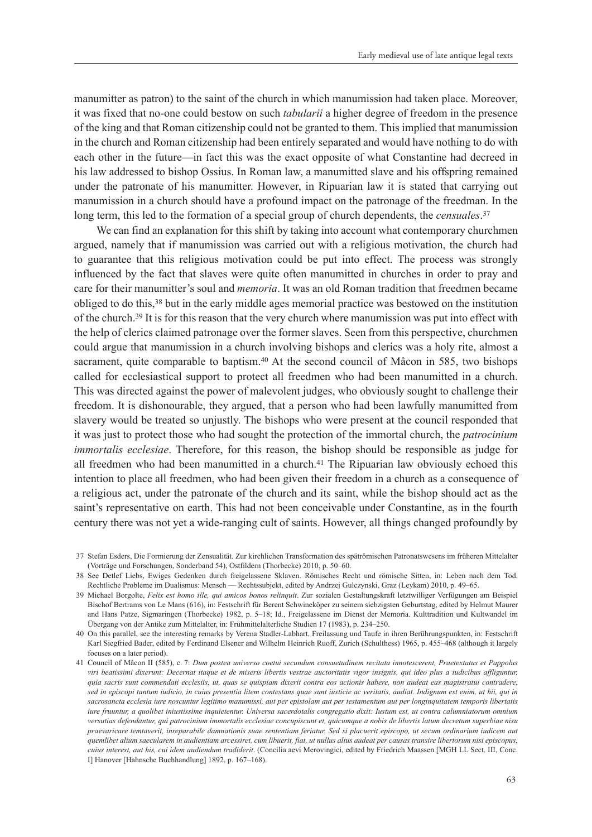manumitter as patron) to the saint of the church in which manumission had taken place. Moreover, it was fixed that no-one could bestow on such *tabularii* a higher degree of freedom in the presence of the king and that Roman citizenship could not be granted to them. This implied that manumission in the church and Roman citizenship had been entirely separated and would have nothing to do with each other in the future—in fact this was the exact opposite of what Constantine had decreed in his law addressed to bishop Ossius. In Roman law, a manumitted slave and his offspring remained under the patronate of his manumitter. However, in Ripuarian law it is stated that carrying out manumission in a church should have a profound impact on the patronage of the freedman. In the long term, this led to the formation of a special group of church dependents, the *censuales*. 37

We can find an explanation for this shift by taking into account what contemporary churchmen argued, namely that if manumission was carried out with a religious motivation, the church had to guarantee that this religious motivation could be put into effect. The process was strongly influenced by the fact that slaves were quite often manumitted in churches in order to pray and care for their manumitter's soul and *memoria*. It was an old Roman tradition that freedmen became obliged to do this,38 but in the early middle ages memorial practice was bestowed on the institution of the church.39 It is for this reason that the very church where manumission was put into effect with the help of clerics claimed patronage over the former slaves. Seen from this perspective, churchmen could argue that manumission in a church involving bishops and clerics was a holy rite, almost a sacrament, quite comparable to baptism.<sup>40</sup> At the second council of Mâcon in 585, two bishops called for ecclesiastical support to protect all freedmen who had been manumitted in a church. This was directed against the power of malevolent judges, who obviously sought to challenge their freedom. It is dishonourable, they argued, that a person who had been lawfully manumitted from slavery would be treated so unjustly. The bishops who were present at the council responded that it was just to protect those who had sought the protection of the immortal church, the *patrocinium immortalis ecclesiae*. Therefore, for this reason, the bishop should be responsible as judge for all freedmen who had been manumitted in a church.41 The Ripuarian law obviously echoed this intention to place all freedmen, who had been given their freedom in a church as a consequence of a religious act, under the patronate of the church and its saint, while the bishop should act as the saint's representative on earth. This had not been conceivable under Constantine, as in the fourth century there was not yet a wide-ranging cult of saints. However, all things changed profoundly by

<sup>37</sup> Stefan Esders, Die Formierung der Zensualität. Zur kirchlichen Transformation des spätrömischen Patronatswesens im früheren Mittelalter (Vorträge und Forschungen, Sonderband 54), Ostfildern (Thorbecke) 2010, p. 50–60.

<sup>38</sup> See Detlef Liebs, Ewiges Gedenken durch freigelassene Sklaven. Römisches Recht und römische Sitten, in: Leben nach dem Tod. Rechtliche Probleme im Dualismus: Mensch — Rechtssubjekt, edited by Andrzej Gulczynski, Graz (Leykam) 2010, p. 49–65.

<sup>39</sup> Michael Borgolte, *Felix est homo ille, qui amicos bonos relinquit*. Zur sozialen Gestaltungskraft letztwilliger Verfügungen am Beispiel Bischof Bertrams von Le Mans (616), in: Festschrift für Berent Schwineköper zu seinem siebzigsten Geburtstag, edited by Helmut Maurer and Hans Patze, Sigmaringen (Thorbecke) 1982, p. 5–18; Id., Freigelassene im Dienst der Memoria. Kulttradition und Kultwandel im Übergang von der Antike zum Mittelalter, in: Frühmittelalterliche Studien 17 (1983), p. 234–250.

<sup>40</sup> On this parallel, see the interesting remarks by Verena Stadler-Labhart, Freilassung und Taufe in ihren Berührungspunkten, in: Festschrift Karl Siegfried Bader, edited by Ferdinand Elsener and Wilhelm Heinrich Ruoff, Zurich (Schulthess) 1965, p. 455–468 (although it largely focuses on a later period).

<sup>41</sup> Council of Mâcon II (585), c. 7: *Dum postea universo coetui secundum consuetudinem recitata innotescerent, Praetextatus et Pappolus viri beatissimi dixerunt: Decernat itaque et de miseris libertis vestrae auctoritatis vigor insignis, qui ideo plus a iudicibus affliguntur, quia sacris sunt commendati ecclesiis, ut, quas se quispiam dixerit contra eos actionis habere, non audeat eas magistratui contradere, sed in episcopi tantum iudicio, in cuius presentia litem contestans quae sunt iusticie ac veritatis, audiat. Indignum est enim, ut hii, qui in sacrosancta ecclesia iure noscuntur legitimo manumissi, aut per epistolam aut per testamentum aut per longinquitatem temporis libertatis iure fruuntur, a quolibet iniustissime inquietentur. Universa sacerdotalis congregatio dixit: Iustum est, ut contra calumniatorum omnium versutias defendantur, qui patrocinium immortalis ecclesiae concupiscunt et, quicumque a nobis de libertis latum decretum superbiae nisu praevaricare temtaverit, inreparabile damnationis suae sententiam feriatur. Sed si placuerit episcopo, ut secum ordinarium iudicem aut quemlibet alium saecularem in audientiam arcessiret, cum libuerit, fiat, ut nullus alius audeat per causas transire libertorum nisi episcopus, cuius interest, aut his, cui idem audiendum tradiderit*. (Concilia aevi Merovingici, edited by Friedrich Maassen [MGH LL Sect. III, Conc. I] Hanover [Hahnsche Buchhandlung] 1892, p. 167–168).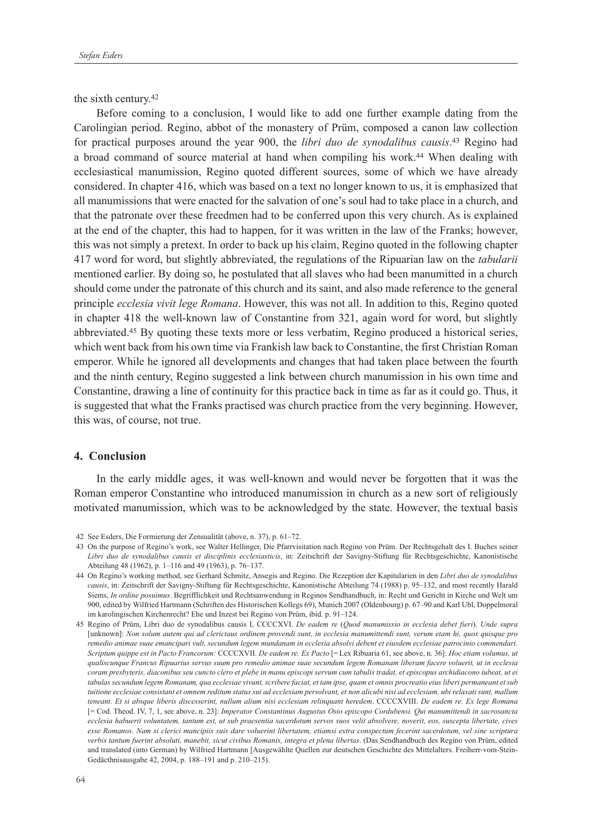the sixth century.42

Before coming to a conclusion, I would like to add one further example dating from the Carolingian period. Regino, abbot of the monastery of Prüm, composed a canon law collection for practical purposes around the year 900, the *libri duo de synodalibus causis*. 43 Regino had a broad command of source material at hand when compiling his work.44 When dealing with ecclesiastical manumission, Regino quoted different sources, some of which we have already considered. In chapter 416, which was based on a text no longer known to us, it is emphasized that all manumissions that were enacted for the salvation of one's soul had to take place in a church, and that the patronate over these freedmen had to be conferred upon this very church. As is explained at the end of the chapter, this had to happen, for it was written in the law of the Franks; however, this was not simply a pretext. In order to back up his claim, Regino quoted in the following chapter 417 word for word, but slightly abbreviated, the regulations of the Ripuarian law on the *tabularii* mentioned earlier. By doing so, he postulated that all slaves who had been manumitted in a church should come under the patronate of this church and its saint, and also made reference to the general principle *ecclesia vivit lege Romana*. However, this was not all. In addition to this, Regino quoted in chapter 418 the well-known law of Constantine from 321, again word for word, but slightly abbreviated.45 By quoting these texts more or less verbatim, Regino produced a historical series, which went back from his own time via Frankish law back to Constantine, the first Christian Roman emperor. While he ignored all developments and changes that had taken place between the fourth and the ninth century, Regino suggested a link between church manumission in his own time and Constantine, drawing a line of continuity for this practice back in time as far as it could go. Thus, it is suggested that what the Franks practised was church practice from the very beginning. However, this was, of course, not true.

### **4. Conclusion**

In the early middle ages, it was well-known and would never be forgotten that it was the Roman emperor Constantine who introduced manumission in church as a new sort of religiously motivated manumission, which was to be acknowledged by the state. However, the textual basis

<sup>42</sup> See Esders, Die Formierung der Zensualität (above, n. 37), p. 61–72.

<sup>43</sup> On the purpose of Regino's work, see Walter Hellinger, Die Pfarrvisitation nach Regino von Prüm. Der Rechtsgehalt des I. Buches seiner *Libri duo de synodalibus causis et disciplinis ecclesiasticis*, in: Zeitschrift der Savigny-Stiftung für Rechtsgeschichte, Kanonistische Abteilung 48 (1962), p. 1–116 and 49 (1963), p. 76–137.

<sup>44</sup> On Regino's working method, see Gerhard Schmitz, Ansegis and Regino. Die Rezeption der Kapitularien in den *Libri duo de synodalibus causis*, in: Zeitschrift der Savigny-Stiftung für Rechtsgeschichte, Kanonistische Abteilung 74 (1988) p. 95–132, and most recently Harald Siems, *In ordine posuimus*. Begrifflichkeit und Rechtsanwendung in Reginos Sendhandbuch, in: Recht und Gericht in Kirche und Welt um 900, edited by Wilfried Hartmann (Schriften des Historischen Kollegs 69), Munich 2007 (Oldenbourg) p. 67–90 and Karl Ubl, Doppelmoral im karolingischen Kirchenrecht? Ehe und Inzest bei Regino von Prüm, ibid. p. 91–124.

<sup>45</sup> Regino of Prüm, Libri duo de synodalibus causis I, CCCCXVI. *De eadem re* (*Quod manumissio in ecclesia debet fieri*). *Unde supra* [unknown]: *Non solum autem qui ad clerictaus ordinem provendi sunt, in ecclesia manumittendi sunt, verum etam hi, quos quisque pro remedio animae suae emancipari vult, secundum legem mundanam in ecclesia absolvi debent et eiusdem ecclesiae patrocinio commendari. Scriptum quippe est in Pacto Francorum:* CCCCXVII. *De eadem re. Ex Pacto* [= Lex Ribuaria 61, see above, n. 36]: *Hoc etiam volumus, ut qualiscunque Francus Ripuarius servus suum pro remedio animae suae secundum legem Romanam liberam facere voluerit, ut in ecclesia coram presbyteris, diaconibus seu cuncto clero et plebe in manu episcopi servum cum tabulis tradat, et episcopus archidiacono iubeat, ut ei tabulas secundum legem Romanam, qua ecclesiae vivunt, scribere faciat, et tam ipse, quam et omnis procreatio eius liberi permaneant et sub tuitione ecclesiae consistant et omnem reditum status sui ad ecclesiam persolvant, et non alicubi nisi ad ecclesiam, ubi relaxati sunt, mallum teneant. Et si absque liberis discesserint, nullum alium nisi ecclesiam relinquant heredem*. CCCCXVIII. *De eadem re. Ex lege Romana*  [= Cod. Theod. IV, 7, 1, see above, n. 23]: *Imperator Constantinus Augustus Osio episcopo Cordubensi. Qui manumittendi in sacrosancta ecclesia habuerit voluntatem, tantum est, ut sub praesentia sacerdotum servos suos velit absolvere, noverit, eos, suscepta libertate, cives esse Romanos. Nam si clerici mancipiis suis dare voluerint libertatem, etiamsi extra conspectum fecerint sacerdotum, vel sine scriptura verbis tantum fuerint absoluti, manebit, sicut civibus Romanis, integra et plena libertas*. (Das Sendhandbuch des Regino von Prüm, edited and translated (into German) by Wilfried Hartmann [Ausgewählte Quellen zur deutschen Geschichte des Mittelalters. Freiherr-vom-Stein-Gedäcthnisausgabe 42, 2004, p. 188–191 and p. 210–215).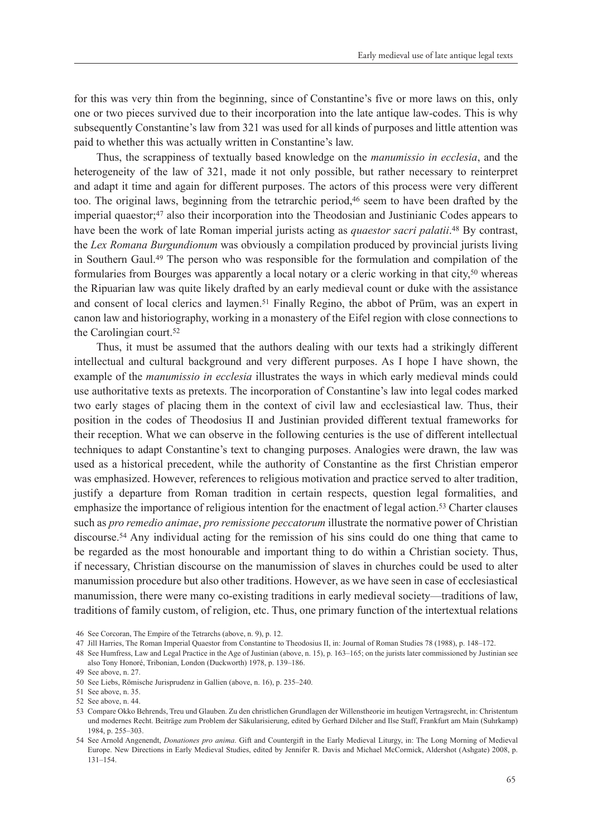for this was very thin from the beginning, since of Constantine's five or more laws on this, only one or two pieces survived due to their incorporation into the late antique law-codes. This is why subsequently Constantine's law from 321 was used for all kinds of purposes and little attention was paid to whether this was actually written in Constantine's law.

Thus, the scrappiness of textually based knowledge on the *manumissio in ecclesia*, and the heterogeneity of the law of 321, made it not only possible, but rather necessary to reinterpret and adapt it time and again for different purposes. The actors of this process were very different too. The original laws, beginning from the tetrarchic period,<sup>46</sup> seem to have been drafted by the imperial quaestor;47 also their incorporation into the Theodosian and Justinianic Codes appears to have been the work of late Roman imperial jurists acting as *quaestor sacri palatii*. 48 By contrast, the *Lex Romana Burgundionum* was obviously a compilation produced by provincial jurists living in Southern Gaul.49 The person who was responsible for the formulation and compilation of the formularies from Bourges was apparently a local notary or a cleric working in that city,50 whereas the Ripuarian law was quite likely drafted by an early medieval count or duke with the assistance and consent of local clerics and laymen.<sup>51</sup> Finally Regino, the abbot of Prüm, was an expert in canon law and historiography, working in a monastery of the Eifel region with close connections to the Carolingian court.52

Thus, it must be assumed that the authors dealing with our texts had a strikingly different intellectual and cultural background and very different purposes. As I hope I have shown, the example of the *manumissio in ecclesia* illustrates the ways in which early medieval minds could use authoritative texts as pretexts. The incorporation of Constantine's law into legal codes marked two early stages of placing them in the context of civil law and ecclesiastical law. Thus, their position in the codes of Theodosius II and Justinian provided different textual frameworks for their reception. What we can observe in the following centuries is the use of different intellectual techniques to adapt Constantine's text to changing purposes. Analogies were drawn, the law was used as a historical precedent, while the authority of Constantine as the first Christian emperor was emphasized. However, references to religious motivation and practice served to alter tradition, justify a departure from Roman tradition in certain respects, question legal formalities, and emphasize the importance of religious intention for the enactment of legal action.<sup>53</sup> Charter clauses such as *pro remedio animae*, *pro remissione peccatorum* illustrate the normative power of Christian discourse.54 Any individual acting for the remission of his sins could do one thing that came to be regarded as the most honourable and important thing to do within a Christian society. Thus, if necessary, Christian discourse on the manumission of slaves in churches could be used to alter manumission procedure but also other traditions. However, as we have seen in case of ecclesiastical manumission, there were many co-existing traditions in early medieval society—traditions of law, traditions of family custom, of religion, etc. Thus, one primary function of the intertextual relations

46 See Corcoran, The Empire of the Tetrarchs (above, n. 9), p. 12.

47 Jill Harries, The Roman Imperial Quaestor from Constantine to Theodosius II, in: Journal of Roman Studies 78 (1988), p. 148–172.

48 See Humfress, Law and Legal Practice in the Age of Justinian (above, n. 15), p. 163–165; on the jurists later commissioned by Justinian see also Tony Honoré, Tribonian, London (Duckworth) 1978, p. 139–186.

<sup>49</sup> See above, n. 27.

<sup>50</sup> See Liebs, Römische Jurisprudenz in Gallien (above, n. 16), p. 235–240.

<sup>51</sup> See above, n. 35.

<sup>52</sup> See above, n. 44.

<sup>53</sup> Compare Okko Behrends, Treu und Glauben. Zu den christlichen Grundlagen der Willenstheorie im heutigen Vertragsrecht, in: Christentum und modernes Recht. Beiträge zum Problem der Säkularisierung, edited by Gerhard Dilcher and Ilse Staff, Frankfurt am Main (Suhrkamp) 1984, p. 255–303.

<sup>54</sup> See Arnold Angenendt, *Donationes pro anima*. Gift and Countergift in the Early Medieval Liturgy, in: The Long Morning of Medieval Europe. New Directions in Early Medieval Studies, edited by Jennifer R. Davis and Michael McCormick, Aldershot (Ashgate) 2008, p. 131–154.